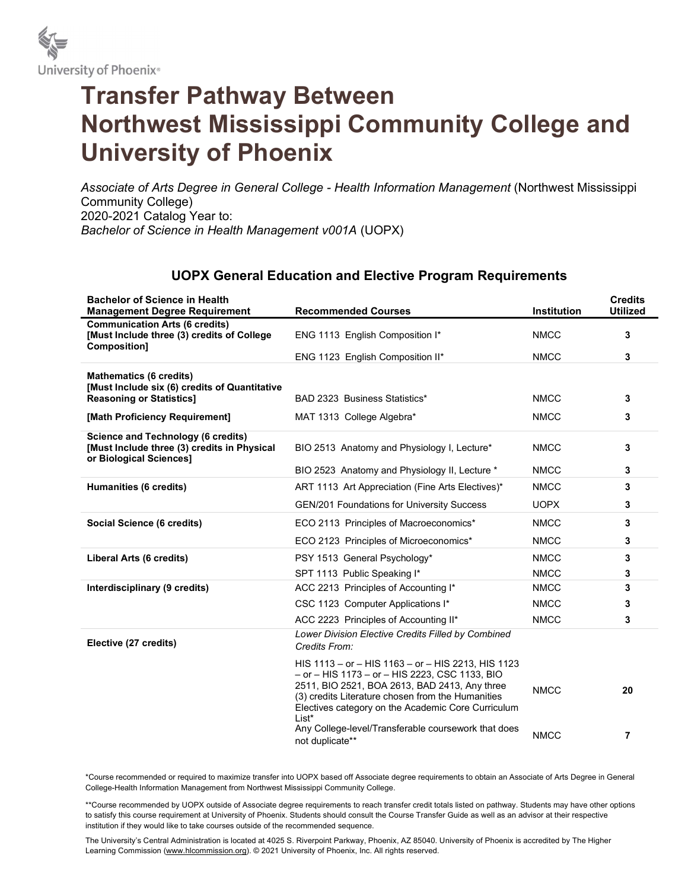

## Transfer Pathway Between Northwest Mississippi Community College and University of Phoenix

Associate of Arts Degree in General College - Health Information Management (Northwest Mississippi Community College) 2020-2021 Catalog Year to: Bachelor of Science in Health Management v001A (UOPX)

## UOPX General Education and Elective Program Requirements

| <b>Bachelor of Science in Health</b><br><b>Management Degree Requirement</b>                                        | <b>Recommended Courses</b>                                                                                                                                                                                                                                                                                                                          | <b>Institution</b>         | <b>Credits</b><br><b>Utilized</b> |
|---------------------------------------------------------------------------------------------------------------------|-----------------------------------------------------------------------------------------------------------------------------------------------------------------------------------------------------------------------------------------------------------------------------------------------------------------------------------------------------|----------------------------|-----------------------------------|
| <b>Communication Arts (6 credits)</b><br>[Must Include three (3) credits of College<br><b>Composition1</b>          | ENG 1113 English Composition I*                                                                                                                                                                                                                                                                                                                     | <b>NMCC</b>                | 3                                 |
|                                                                                                                     | ENG 1123 English Composition II*                                                                                                                                                                                                                                                                                                                    | <b>NMCC</b>                | 3                                 |
| <b>Mathematics (6 credits)</b><br>[Must Include six (6) credits of Quantitative                                     |                                                                                                                                                                                                                                                                                                                                                     |                            |                                   |
| <b>Reasoning or Statistics]</b>                                                                                     | BAD 2323 Business Statistics*                                                                                                                                                                                                                                                                                                                       | <b>NMCC</b>                | 3                                 |
| [Math Proficiency Requirement]                                                                                      | MAT 1313 College Algebra*                                                                                                                                                                                                                                                                                                                           | <b>NMCC</b>                | 3                                 |
| <b>Science and Technology (6 credits)</b><br>[Must Include three (3) credits in Physical<br>or Biological Sciences] | BIO 2513 Anatomy and Physiology I, Lecture*                                                                                                                                                                                                                                                                                                         | <b>NMCC</b>                | 3                                 |
|                                                                                                                     | BIO 2523 Anatomy and Physiology II, Lecture *                                                                                                                                                                                                                                                                                                       | <b>NMCC</b>                | 3                                 |
| <b>Humanities (6 credits)</b>                                                                                       | ART 1113 Art Appreciation (Fine Arts Electives)*                                                                                                                                                                                                                                                                                                    | <b>NMCC</b>                | 3                                 |
|                                                                                                                     | GEN/201 Foundations for University Success                                                                                                                                                                                                                                                                                                          | <b>UOPX</b>                | 3                                 |
| Social Science (6 credits)                                                                                          | ECO 2113 Principles of Macroeconomics*                                                                                                                                                                                                                                                                                                              | <b>NMCC</b>                | 3                                 |
|                                                                                                                     | ECO 2123 Principles of Microeconomics*                                                                                                                                                                                                                                                                                                              | <b>NMCC</b>                | 3                                 |
| Liberal Arts (6 credits)                                                                                            | PSY 1513 General Psychology*                                                                                                                                                                                                                                                                                                                        | <b>NMCC</b>                | 3                                 |
|                                                                                                                     | SPT 1113 Public Speaking I*                                                                                                                                                                                                                                                                                                                         | <b>NMCC</b>                | 3                                 |
| Interdisciplinary (9 credits)                                                                                       | ACC 2213 Principles of Accounting I*                                                                                                                                                                                                                                                                                                                | <b>NMCC</b>                | 3                                 |
|                                                                                                                     | CSC 1123 Computer Applications I*                                                                                                                                                                                                                                                                                                                   | <b>NMCC</b>                | 3                                 |
|                                                                                                                     | ACC 2223 Principles of Accounting II*                                                                                                                                                                                                                                                                                                               | <b>NMCC</b>                | 3                                 |
| Elective (27 credits)                                                                                               | Lower Division Elective Credits Filled by Combined<br>Credits From:                                                                                                                                                                                                                                                                                 |                            |                                   |
|                                                                                                                     | HIS 1113 - or - HIS 1163 - or - HIS 2213, HIS 1123<br>- or - HIS 1173 - or - HIS 2223, CSC 1133, BIO<br>2511, BIO 2521, BOA 2613, BAD 2413, Any three<br>(3) credits Literature chosen from the Humanities<br>Electives category on the Academic Core Curriculum<br>List*<br>Any College-level/Transferable coursework that does<br>not duplicate** | <b>NMCC</b><br><b>NMCC</b> | 20<br>$\overline{7}$              |

\*Course recommended or required to maximize transfer into UOPX based off Associate degree requirements to obtain an Associate of Arts Degree in General College-Health Information Management from Northwest Mississippi Community College.

\*\*Course recommended by UOPX outside of Associate degree requirements to reach transfer credit totals listed on pathway. Students may have other options to satisfy this course requirement at University of Phoenix. Students should consult the Course Transfer Guide as well as an advisor at their respective institution if they would like to take courses outside of the recommended sequence.

The University's Central Administration is located at 4025 S. Riverpoint Parkway, Phoenix, AZ 85040. University of Phoenix is accredited by The Higher Learning Commission (www.hlcommission.org). © 2021 University of Phoenix, Inc. All rights reserved.